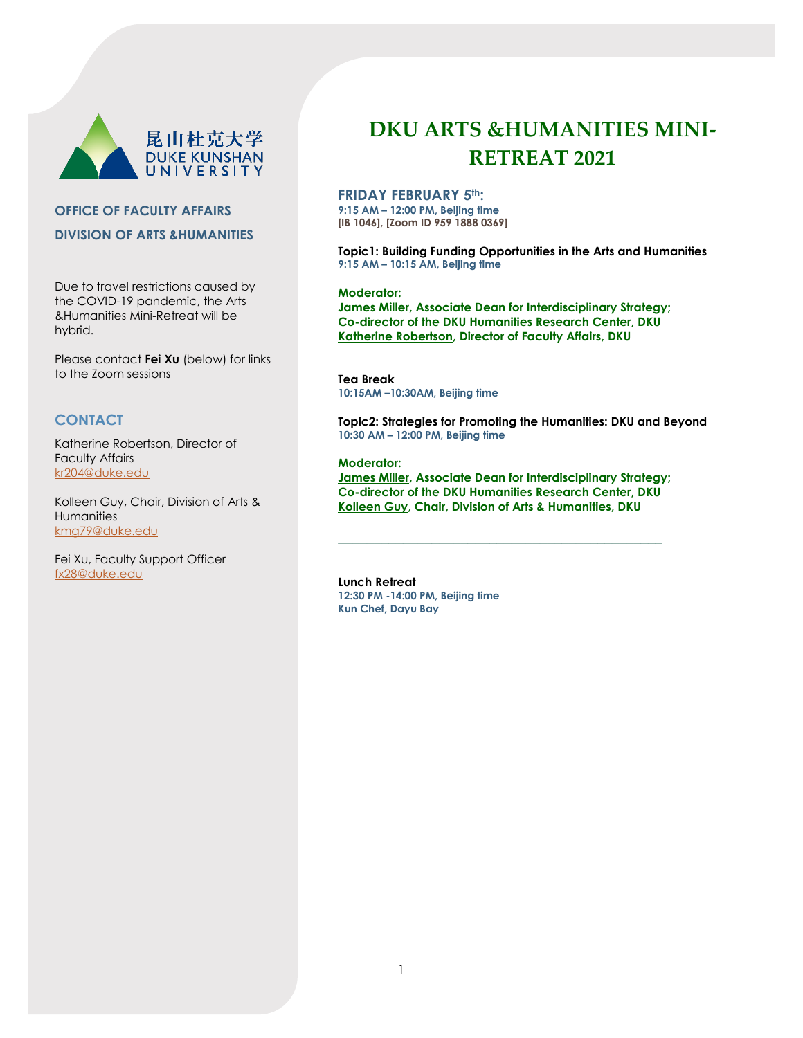

# **OFFICE OF FACULTY AFFAIRS DIVISION OF ARTS &HUMANITIES**

Due to travel restrictions caused by the COVID-19 pandemic, the Arts &Humanities Mini-Retreat will be hybrid.

Please contact **Fei Xu** (below) for links to the Zoom sessions

# **CONTACT**

Katherine Robertson, Director of Faculty Affairs [kr204@duke.edu](mailto:kr204@duke.edu)

Kolleen Guy, Chair, Division of Arts & **Humanities** [kmg79@duke.edu](mailto:kmg79@duke.edu)

Fei Xu, Faculty Support Officer [fx28@duke.edu](mailto:fx28@duke.edu)

# **DKU ARTS &HUMANITIES MINI-RETREAT 2021**

# **FRIDAY FEBRUARY 5th:**

**9:15 AM – 12:00 PM, Beijing time [IB 1046], [Zoom ID 959 1888 0369]**

**Topic1: Building Funding Opportunities in the Arts and Humanities 9:15 AM – 10:15 AM, Beijing time**

#### **Moderator:**

**James Miller, Associate Dean for Interdisciplinary Strategy; Co-director of the DKU Humanities Research Center, DKU Katherine Robertson, Director of Faculty Affairs, DKU**

**Tea Break 10:15AM –10:30AM, Beijing time**

**Topic2: Strategies for Promoting the Humanities: DKU and Beyond 10:30 AM – 12:00 PM, Beijing time**

#### **Moderator:**

**James Miller, Associate Dean for Interdisciplinary Strategy; Co-director of the DKU Humanities Research Center, DKU Kolleen Guy, Chair, Division of Arts & Humanities, DKU**

**\_\_\_\_\_\_\_\_\_\_\_\_\_\_\_\_\_\_\_\_\_\_\_\_\_\_\_\_\_\_\_\_\_\_\_\_\_\_\_\_\_\_\_\_\_**

**Lunch Retreat 12:30 PM -14:00 PM, Beijing time Kun Chef, Dayu Bay**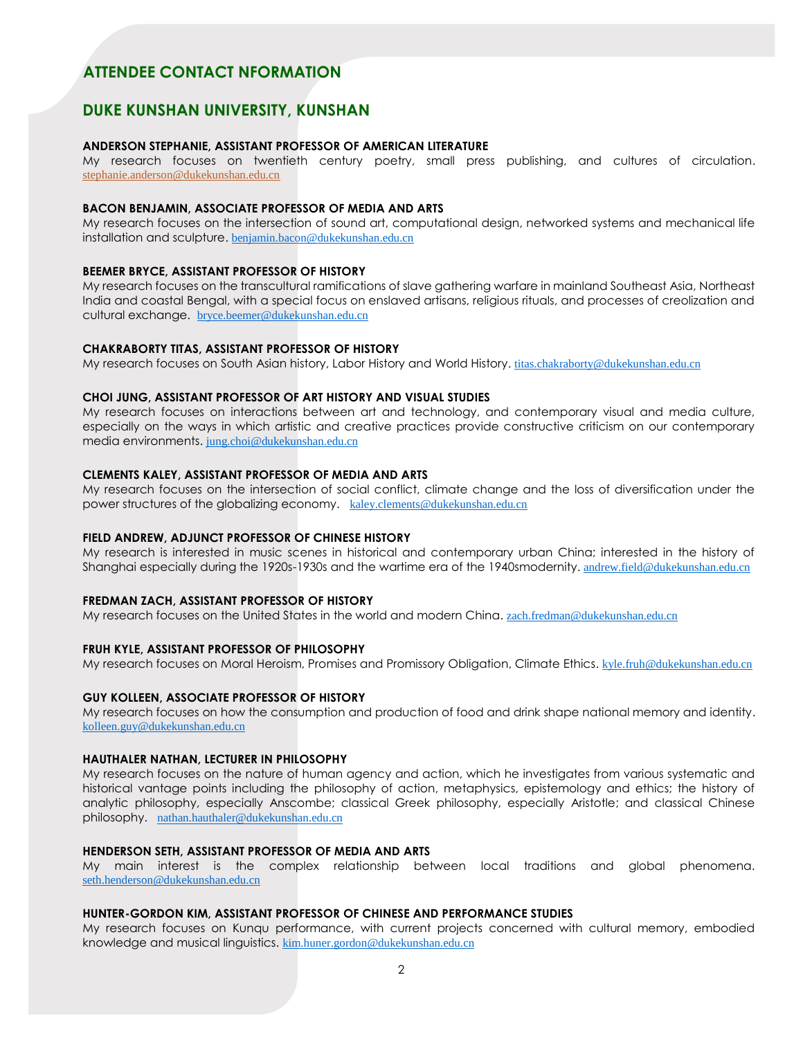# **ATTENDEE CONTACT NFORMATION**

# **DUKE KUNSHAN UNIVERSITY, KUNSHAN**

# **ANDERSON STEPHANIE, ASSISTANT PROFESSOR OF AMERICAN LITERATURE**

My research focuses on twentieth century poetry, small press publishing, and cultures of circulation. [stephanie.anderson@dukekunshan.edu.cn](mailto:stephanie.anderson@dukekunshan.edu.cn)

# **BACON BENJAMIN, ASSOCIATE PROFESSOR OF MEDIA AND ARTS**

My research focuses on the intersection of sound art, computational design, networked systems and mechanical life installation and sculpture. benjamin.bacon@dukekunshan.edu.cn

# **BEEMER BRYCE, ASSISTANT PROFESSOR OF HISTORY**

My research focuses on the transcultural ramifications of slave gathering warfare in mainland Southeast Asia, Northeast India and coastal Bengal, with a special focus on enslaved artisans, religious rituals, and processes of creolization and cultural exchange. bryce.beemer@dukekunshan.edu.cn

#### **CHAKRABORTY TITAS, ASSISTANT PROFESSOR OF HISTORY**

My research focuses on South Asian history, Labor History and World History. titas.chakraborty@dukekunshan.edu.cn

#### **CHOI JUNG, ASSISTANT PROFESSOR OF ART HISTORY AND VISUAL STUDIES**

My research focuses on interactions between art and technology, and contemporary visual and media culture, especially on the ways in which artistic and creative practices provide constructive criticism on our contemporary media environments. jung.choi@dukekunshan.edu.cn

# **CLEMENTS KALEY, ASSISTANT PROFESSOR OF MEDIA AND ARTS**

My research focuses on the intersection of social conflict, climate change and the loss of diversification under the power structures of the globalizing economy. kaley.clements@dukekunshan.edu.cn

#### **FIELD ANDREW, ADJUNCT PROFESSOR OF CHINESE HISTORY**

My research is interested in music scenes in historical and contemporary urban China; interested in the history of Shanghai especially during the 1920s-1930s and the wartime era of the 1940smodernity. andrew.field@dukekunshan.edu.cn

# **FREDMAN ZACH, ASSISTANT PROFESSOR OF HISTORY**

My research focuses on the United States in the world and modern China. zach.fredman@dukekunshan.edu.cn

## **FRUH KYLE, ASSISTANT PROFESSOR OF PHILOSOPHY**

My research focuses on Moral Heroism, Promises and Promissory Obligation, Climate Ethics. kyle.fruh@dukekunshan.edu.cn

#### **GUY KOLLEEN, ASSOCIATE PROFESSOR OF HISTORY**

My research focuses on how the consumption and production of food and drink shape national memory and identity. kolleen.guy@dukekunshan.edu.cn

#### **HAUTHALER NATHAN, LECTURER IN PHILOSOPHY**

My research focuses on the nature of human agency and action, which he investigates from various systematic and historical vantage points including the philosophy of action, metaphysics, epistemology and ethics; the history of analytic philosophy, especially Anscombe; classical Greek philosophy, especially Aristotle; and classical Chinese philosophy. nathan.hauthaler@dukekunshan.edu.cn

# **HENDERSON SETH, ASSISTANT PROFESSOR OF MEDIA AND ARTS**

My main interest is the complex relationship between local traditions and global phenomena. seth.henderson@dukekunshan.edu.cn

#### **HUNTER-GORDON KIM, ASSISTANT PROFESSOR OF CHINESE AND PERFORMANCE STUDIES**

My research focuses on Kunqu performance, with current projects concerned with cultural memory, embodied knowledge and musical linguistics. kim.huner.gordon@dukekunshan.edu.cn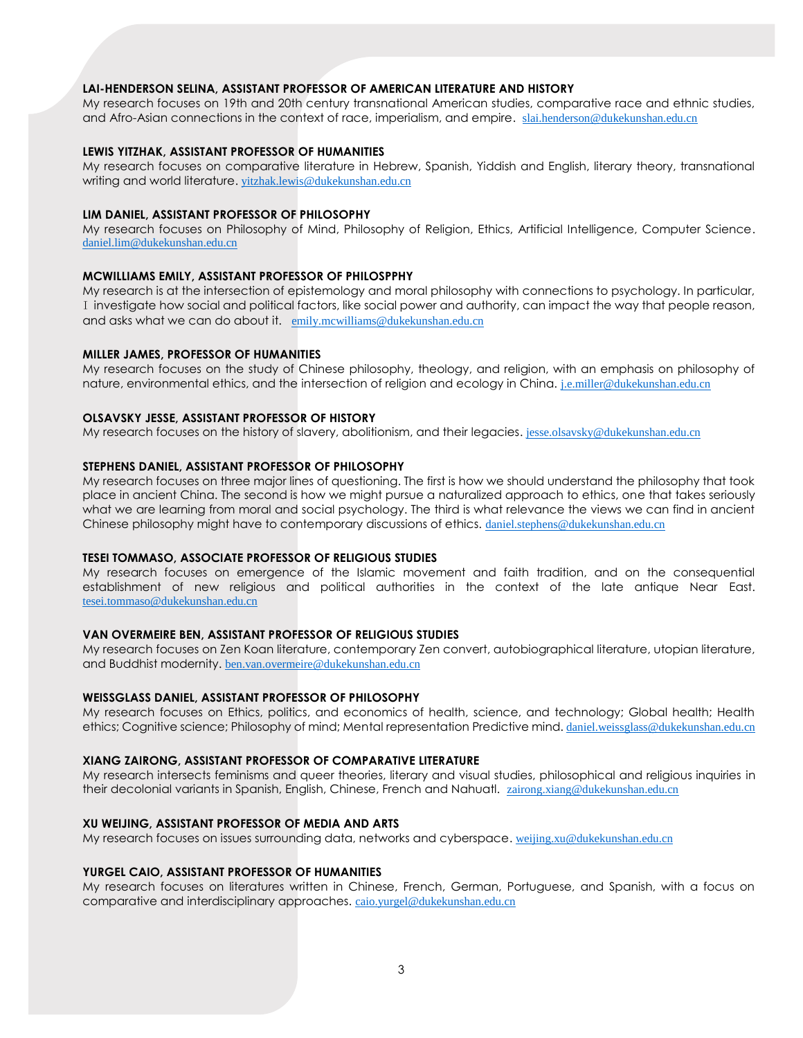# **LAI-HENDERSON SELINA, ASSISTANT PROFESSOR OF AMERICAN LITERATURE AND HISTORY**

My research focuses on 19th and 20th century transnational American studies, comparative race and ethnic studies, and Afro-Asian connections in the context of race, imperialism, and empire. slai.henderson@dukekunshan.edu.cn

#### **LEWIS YITZHAK, ASSISTANT PROFESSOR OF HUMANITIES**

My research focuses on comparative literature in Hebrew, Spanish, Yiddish and English, literary theory, transnational writing and world literature. yitzhak.lewis@dukekunshan.edu.cn

# **LIM DANIEL, ASSISTANT PROFESSOR OF PHILOSOPHY**

My research focuses on Philosophy of Mind, Philosophy of Religion, Ethics, Artificial Intelligence, Computer Science. daniel.lim@dukekunshan.edu.cn

#### **MCWILLIAMS EMILY, ASSISTANT PROFESSOR OF PHILOSPPHY**

My research is at the intersection of epistemology and moral philosophy with connections to psychology. In particular, I investigate how social and political factors, like social power and authority, can impact the way that people reason, and asks what we can do about it. emily.mcwilliams@dukekunshan.edu.cn

# **MILLER JAMES, PROFESSOR OF HUMANITIES**

My research focuses on the study of Chinese philosophy, theology, and religion, with an emphasis on philosophy of nature, environmental ethics, and the intersection of religion and ecology in China. j.e.miller@dukekunshan.edu.cn

#### **OLSAVSKY JESSE, ASSISTANT PROFESSOR OF HISTORY**

My research focuses on the history of slavery, abolitionism, and their legacies. jesse.olsavsky@dukekunshan.edu.cn

#### **STEPHENS DANIEL, ASSISTANT PROFESSOR OF PHILOSOPHY**

My research focuses on three major lines of questioning. The first is how we should understand the philosophy that took place in ancient China. The second is how we might pursue a naturalized approach to ethics, one that takes seriously what we are learning from moral and social psychology. The third is what relevance the views we can find in ancient Chinese philosophy might have to contemporary discussions of ethics. daniel.stephens@dukekunshan.edu.cn

#### **TESEI TOMMASO, ASSOCIATE PROFESSOR OF RELIGIOUS STUDIES**

My research focuses on emergence of the Islamic movement and faith tradition, and on the consequential establishment of new religious and political authorities in the context of the late antique Near East. tesei.tommaso@dukekunshan.edu.cn

# **VAN OVERMEIRE BEN, ASSISTANT PROFESSOR OF RELIGIOUS STUDIES**

My research focuses on Zen Koan literature, contemporary Zen convert, autobiographical literature, utopian literature, and Buddhist modernity. ben.van.overmeire@dukekunshan.edu.cn

## **WEISSGLASS DANIEL, ASSISTANT PROFESSOR OF PHILOSOPHY**

My research focuses on Ethics, politics, and economics of health, science, and technology; Global health; Health ethics; Cognitive science; Philosophy of mind; Mental representation Predictive mind. daniel.weissglass@dukekunshan.edu.cn

#### **XIANG ZAIRONG, ASSISTANT PROFESSOR OF COMPARATIVE LITERATURE**

My research intersects feminisms and queer theories, literary and visual studies, philosophical and religious inquiries in their decolonial variants in Spanish, English, Chinese, French and Nahuatl. zairong.xiang@dukekunshan.edu.cn

#### **XU WEIJING, ASSISTANT PROFESSOR OF MEDIA AND ARTS**

My research focuses on issues surrounding data, networks and cyberspace. weijing.xu@dukekunshan.edu.cn

#### **YURGEL CAIO, ASSISTANT PROFESSOR OF HUMANITIES**

My research focuses on literatures written in Chinese, French, German, Portuguese, and Spanish, with a focus on comparative and interdisciplinary approaches. caio.yurgel@dukekunshan.edu.cn